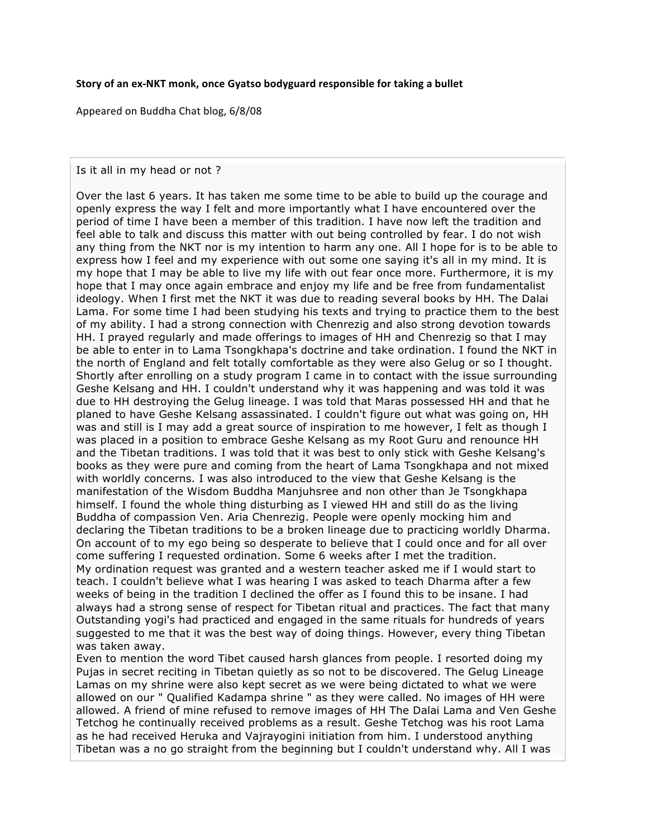## Story of an ex-NKT monk, once Gyatso bodyguard responsible for taking a bullet

Appeared
on
Buddha
Chat
blog,
6/8/08

## Is it all in my head or not ?

Over the last 6 years. It has taken me some time to be able to build up the courage and openly express the way I felt and more importantly what I have encountered over the period of time I have been a member of this tradition. I have now left the tradition and feel able to talk and discuss this matter with out being controlled by fear. I do not wish any thing from the NKT nor is my intention to harm any one. All I hope for is to be able to express how I feel and my experience with out some one saying it's all in my mind. It is my hope that I may be able to live my life with out fear once more. Furthermore, it is my hope that I may once again embrace and enjoy my life and be free from fundamentalist ideology. When I first met the NKT it was due to reading several books by HH. The Dalai Lama. For some time I had been studying his texts and trying to practice them to the best of my ability. I had a strong connection with Chenrezig and also strong devotion towards HH. I prayed regularly and made offerings to images of HH and Chenrezig so that I may be able to enter in to Lama Tsongkhapa's doctrine and take ordination. I found the NKT in the north of England and felt totally comfortable as they were also Gelug or so I thought. Shortly after enrolling on a study program I came in to contact with the issue surrounding Geshe Kelsang and HH. I couldn't understand why it was happening and was told it was due to HH destroying the Gelug lineage. I was told that Maras possessed HH and that he planed to have Geshe Kelsang assassinated. I couldn't figure out what was going on, HH was and still is I may add a great source of inspiration to me however, I felt as though I was placed in a position to embrace Geshe Kelsang as my Root Guru and renounce HH and the Tibetan traditions. I was told that it was best to only stick with Geshe Kelsang's books as they were pure and coming from the heart of Lama Tsongkhapa and not mixed with worldly concerns. I was also introduced to the view that Geshe Kelsang is the manifestation of the Wisdom Buddha Manjuhsree and non other than Je Tsongkhapa himself. I found the whole thing disturbing as I viewed HH and still do as the living Buddha of compassion Ven. Aria Chenrezig. People were openly mocking him and declaring the Tibetan traditions to be a broken lineage due to practicing worldly Dharma. On account of to my ego being so desperate to believe that I could once and for all over come suffering I requested ordination. Some 6 weeks after I met the tradition. My ordination request was granted and a western teacher asked me if I would start to teach. I couldn't believe what I was hearing I was asked to teach Dharma after a few weeks of being in the tradition I declined the offer as I found this to be insane. I had always had a strong sense of respect for Tibetan ritual and practices. The fact that many Outstanding yogi's had practiced and engaged in the same rituals for hundreds of years suggested to me that it was the best way of doing things. However, every thing Tibetan was taken away.

Even to mention the word Tibet caused harsh glances from people. I resorted doing my Pujas in secret reciting in Tibetan quietly as so not to be discovered. The Gelug Lineage Lamas on my shrine were also kept secret as we were being dictated to what we were allowed on our " Qualified Kadampa shrine " as they were called. No images of HH were allowed. A friend of mine refused to remove images of HH The Dalai Lama and Ven Geshe Tetchog he continually received problems as a result. Geshe Tetchog was his root Lama as he had received Heruka and Vajrayogini initiation from him. I understood anything Tibetan was a no go straight from the beginning but I couldn't understand why. All I was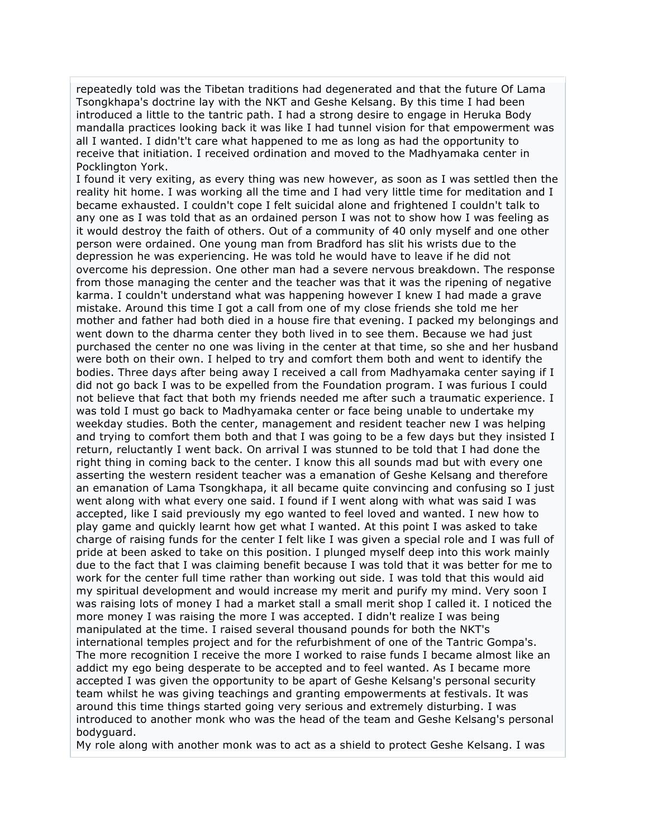repeatedly told was the Tibetan traditions had degenerated and that the future Of Lama Tsongkhapa's doctrine lay with the NKT and Geshe Kelsang. By this time I had been introduced a little to the tantric path. I had a strong desire to engage in Heruka Body mandalla practices looking back it was like I had tunnel vision for that empowerment was all I wanted. I didn't't care what happened to me as long as had the opportunity to receive that initiation. I received ordination and moved to the Madhyamaka center in Pocklington York.

I found it very exiting, as every thing was new however, as soon as I was settled then the reality hit home. I was working all the time and I had very little time for meditation and I became exhausted. I couldn't cope I felt suicidal alone and frightened I couldn't talk to any one as I was told that as an ordained person I was not to show how I was feeling as it would destroy the faith of others. Out of a community of 40 only myself and one other person were ordained. One young man from Bradford has slit his wrists due to the depression he was experiencing. He was told he would have to leave if he did not overcome his depression. One other man had a severe nervous breakdown. The response from those managing the center and the teacher was that it was the ripening of negative karma. I couldn't understand what was happening however I knew I had made a grave mistake. Around this time I got a call from one of my close friends she told me her mother and father had both died in a house fire that evening. I packed my belongings and went down to the dharma center they both lived in to see them. Because we had just purchased the center no one was living in the center at that time, so she and her husband were both on their own. I helped to try and comfort them both and went to identify the bodies. Three days after being away I received a call from Madhyamaka center saying if I did not go back I was to be expelled from the Foundation program. I was furious I could not believe that fact that both my friends needed me after such a traumatic experience. I was told I must go back to Madhyamaka center or face being unable to undertake my weekday studies. Both the center, management and resident teacher new I was helping and trying to comfort them both and that I was going to be a few days but they insisted I return, reluctantly I went back. On arrival I was stunned to be told that I had done the right thing in coming back to the center. I know this all sounds mad but with every one asserting the western resident teacher was a emanation of Geshe Kelsang and therefore an emanation of Lama Tsongkhapa, it all became quite convincing and confusing so I just went along with what every one said. I found if I went along with what was said I was accepted, like I said previously my ego wanted to feel loved and wanted. I new how to play game and quickly learnt how get what I wanted. At this point I was asked to take charge of raising funds for the center I felt like I was given a special role and I was full of pride at been asked to take on this position. I plunged myself deep into this work mainly due to the fact that I was claiming benefit because I was told that it was better for me to work for the center full time rather than working out side. I was told that this would aid my spiritual development and would increase my merit and purify my mind. Very soon I was raising lots of money I had a market stall a small merit shop I called it. I noticed the more money I was raising the more I was accepted. I didn't realize I was being manipulated at the time. I raised several thousand pounds for both the NKT's international temples project and for the refurbishment of one of the Tantric Gompa's. The more recognition I receive the more I worked to raise funds I became almost like an addict my ego being desperate to be accepted and to feel wanted. As I became more accepted I was given the opportunity to be apart of Geshe Kelsang's personal security team whilst he was giving teachings and granting empowerments at festivals. It was around this time things started going very serious and extremely disturbing. I was introduced to another monk who was the head of the team and Geshe Kelsang's personal bodyguard.

My role along with another monk was to act as a shield to protect Geshe Kelsang. I was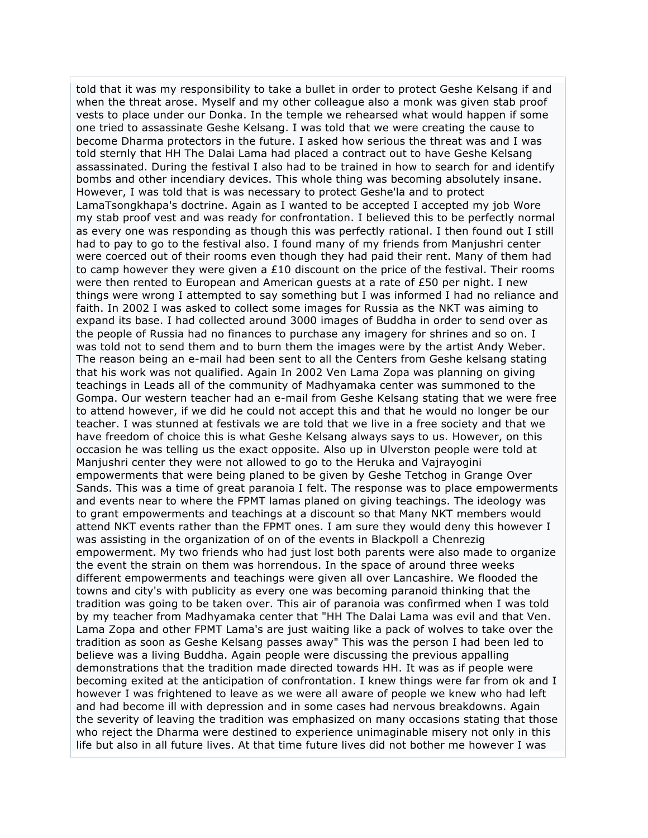told that it was my responsibility to take a bullet in order to protect Geshe Kelsang if and when the threat arose. Myself and my other colleague also a monk was given stab proof vests to place under our Donka. In the temple we rehearsed what would happen if some one tried to assassinate Geshe Kelsang. I was told that we were creating the cause to become Dharma protectors in the future. I asked how serious the threat was and I was told sternly that HH The Dalai Lama had placed a contract out to have Geshe Kelsang assassinated. During the festival I also had to be trained in how to search for and identify bombs and other incendiary devices. This whole thing was becoming absolutely insane. However, I was told that is was necessary to protect Geshe'la and to protect LamaTsongkhapa's doctrine. Again as I wanted to be accepted I accepted my job Wore my stab proof vest and was ready for confrontation. I believed this to be perfectly normal as every one was responding as though this was perfectly rational. I then found out I still had to pay to go to the festival also. I found many of my friends from Manjushri center were coerced out of their rooms even though they had paid their rent. Many of them had to camp however they were given a £10 discount on the price of the festival. Their rooms were then rented to European and American guests at a rate of £50 per night. I new things were wrong I attempted to say something but I was informed I had no reliance and faith. In 2002 I was asked to collect some images for Russia as the NKT was aiming to expand its base. I had collected around 3000 images of Buddha in order to send over as the people of Russia had no finances to purchase any imagery for shrines and so on. I was told not to send them and to burn them the images were by the artist Andy Weber. The reason being an e-mail had been sent to all the Centers from Geshe kelsang stating that his work was not qualified. Again In 2002 Ven Lama Zopa was planning on giving teachings in Leads all of the community of Madhyamaka center was summoned to the Gompa. Our western teacher had an e-mail from Geshe Kelsang stating that we were free to attend however, if we did he could not accept this and that he would no longer be our teacher. I was stunned at festivals we are told that we live in a free society and that we have freedom of choice this is what Geshe Kelsang always says to us. However, on this occasion he was telling us the exact opposite. Also up in Ulverston people were told at Manjushri center they were not allowed to go to the Heruka and Vajrayogini empowerments that were being planed to be given by Geshe Tetchog in Grange Over Sands. This was a time of great paranoia I felt. The response was to place empowerments and events near to where the FPMT lamas planed on giving teachings. The ideology was to grant empowerments and teachings at a discount so that Many NKT members would attend NKT events rather than the FPMT ones. I am sure they would deny this however I was assisting in the organization of on of the events in Blackpoll a Chenrezig empowerment. My two friends who had just lost both parents were also made to organize the event the strain on them was horrendous. In the space of around three weeks different empowerments and teachings were given all over Lancashire. We flooded the towns and city's with publicity as every one was becoming paranoid thinking that the tradition was going to be taken over. This air of paranoia was confirmed when I was told by my teacher from Madhyamaka center that "HH The Dalai Lama was evil and that Ven. Lama Zopa and other FPMT Lama's are just waiting like a pack of wolves to take over the tradition as soon as Geshe Kelsang passes away" This was the person I had been led to believe was a living Buddha. Again people were discussing the previous appalling demonstrations that the tradition made directed towards HH. It was as if people were becoming exited at the anticipation of confrontation. I knew things were far from ok and I however I was frightened to leave as we were all aware of people we knew who had left and had become ill with depression and in some cases had nervous breakdowns. Again the severity of leaving the tradition was emphasized on many occasions stating that those who reject the Dharma were destined to experience unimaginable misery not only in this life but also in all future lives. At that time future lives did not bother me however I was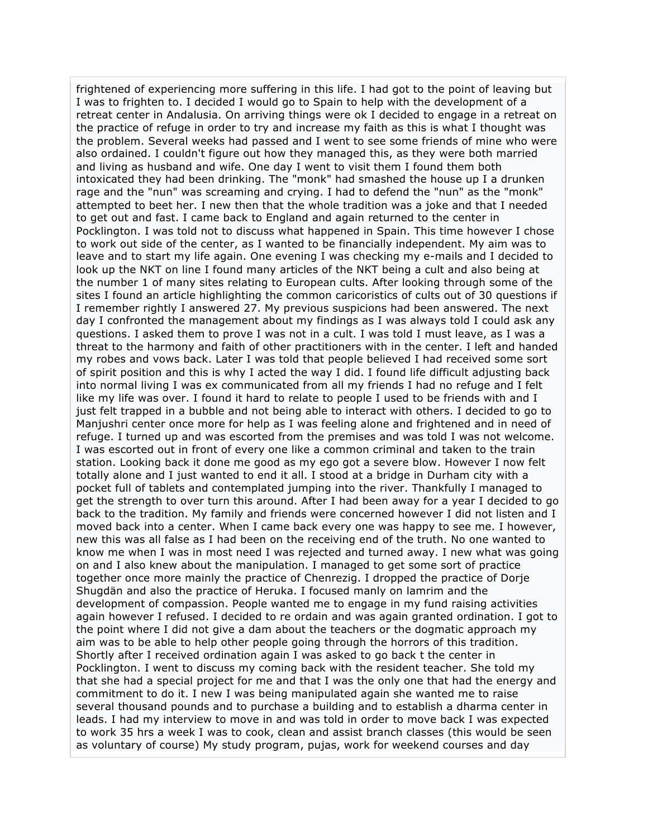frightened of experiencing more suffering in this life. I had got to the point of leaving but I was to frighten to. I decided I would go to Spain to help with the development of a retreat center in Andalusia. On arriving things were ok I decided to engage in a retreat on the practice of refuge in order to try and increase my faith as this is what I thought was the problem. Several weeks had passed and I went to see some friends of mine who were also ordained. I couldn't figure out how they managed this, as they were both married and living as husband and wife. One day I went to visit them I found them both intoxicated they had been drinking. The "monk" had smashed the house up I a drunken rage and the "nun" was screaming and crying. I had to defend the "nun" as the "monk" attempted to beet her. I new then that the whole tradition was a joke and that I needed to get out and fast. I came back to England and again returned to the center in Pocklington. I was told not to discuss what happened in Spain. This time however I chose to work out side of the center, as I wanted to be financially independent. My aim was to leave and to start my life again. One evening I was checking my e-mails and I decided to look up the NKT on line I found many articles of the NKT being a cult and also being at the number 1 of many sites relating to European cults. After looking through some of the sites I found an article highlighting the common caricoristics of cults out of 30 questions if I remember rightly I answered 27. My previous suspicions had been answered. The next day I confronted the management about my findings as I was always told I could ask any questions. I asked them to prove I was not in a cult. I was told I must leave, as I was a threat to the harmony and faith of other practitioners with in the center. I left and handed my robes and vows back. Later I was told that people believed I had received some sort of spirit position and this is why I acted the way I did. I found life difficult adjusting back into normal living I was ex communicated from all my friends I had no refuge and I felt like my life was over. I found it hard to relate to people I used to be friends with and I just felt trapped in a bubble and not being able to interact with others. I decided to go to Manjushri center once more for help as I was feeling alone and frightened and in need of refuge. I turned up and was escorted from the premises and was told I was not welcome. I was escorted out in front of every one like a common criminal and taken to the train station. Looking back it done me good as my ego got a severe blow. However I now felt totally alone and I just wanted to end it all. I stood at a bridge in Durham city with a pocket full of tablets and contemplated jumping into the river. Thankfully I managed to get the strength to over turn this around. After I had been away for a year I decided to go back to the tradition. My family and friends were concerned however I did not listen and I moved back into a center. When I came back every one was happy to see me. I however, new this was all false as I had been on the receiving end of the truth. No one wanted to know me when I was in most need I was rejected and turned away. I new what was going on and I also knew about the manipulation. I managed to get some sort of practice together once more mainly the practice of Chenrezig. I dropped the practice of Dorje Shugdän and also the practice of Heruka. I focused manly on lamrim and the development of compassion. People wanted me to engage in my fund raising activities again however I refused. I decided to re ordain and was again granted ordination. I got to the point where I did not give a dam about the teachers or the dogmatic approach my aim was to be able to help other people going through the horrors of this tradition. Shortly after I received ordination again I was asked to go back t the center in Pocklington. I went to discuss my coming back with the resident teacher. She told my that she had a special project for me and that I was the only one that had the energy and commitment to do it. I new I was being manipulated again she wanted me to raise several thousand pounds and to purchase a building and to establish a dharma center in leads. I had my interview to move in and was told in order to move back I was expected to work 35 hrs a week I was to cook, clean and assist branch classes (this would be seen as voluntary of course) My study program, pujas, work for weekend courses and day